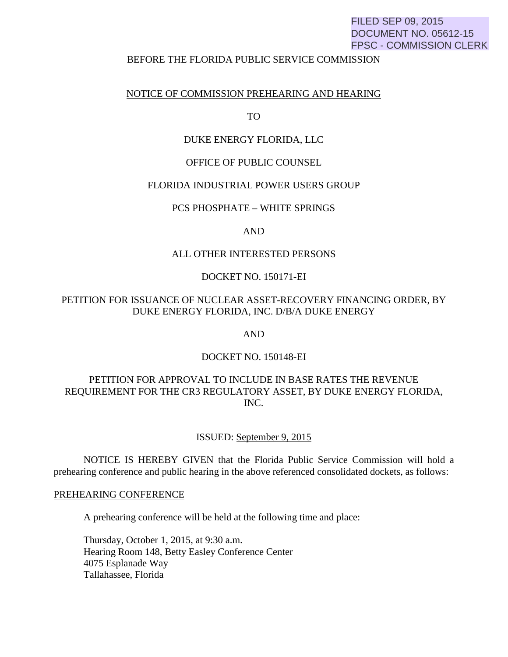# FILED SEP 09, 2015 DOCUMENT NO. 05612-15 FPSC - COMMISSION CLERK

### BEFORE THE FLORIDA PUBLIC SERVICE COMMISSION

### NOTICE OF COMMISSION PREHEARING AND HEARING

TO

### DUKE ENERGY FLORIDA, LLC

### OFFICE OF PUBLIC COUNSEL

### FLORIDA INDUSTRIAL POWER USERS GROUP

### PCS PHOSPHATE – WHITE SPRINGS

### AND

### ALL OTHER INTERESTED PERSONS

### DOCKET NO. 150171-EI

## PETITION FOR ISSUANCE OF NUCLEAR ASSET-RECOVERY FINANCING ORDER, BY DUKE ENERGY FLORIDA, INC. D/B/A DUKE ENERGY

AND

### DOCKET NO. 150148-EI

# PETITION FOR APPROVAL TO INCLUDE IN BASE RATES THE REVENUE REQUIREMENT FOR THE CR3 REGULATORY ASSET, BY DUKE ENERGY FLORIDA, INC.

### ISSUED: September 9, 2015

 NOTICE IS HEREBY GIVEN that the Florida Public Service Commission will hold a prehearing conference and public hearing in the above referenced consolidated dockets, as follows:

### PREHEARING CONFERENCE

A prehearing conference will be held at the following time and place:

Thursday, October 1, 2015, at 9:30 a.m. Hearing Room 148, Betty Easley Conference Center 4075 Esplanade Way Tallahassee, Florida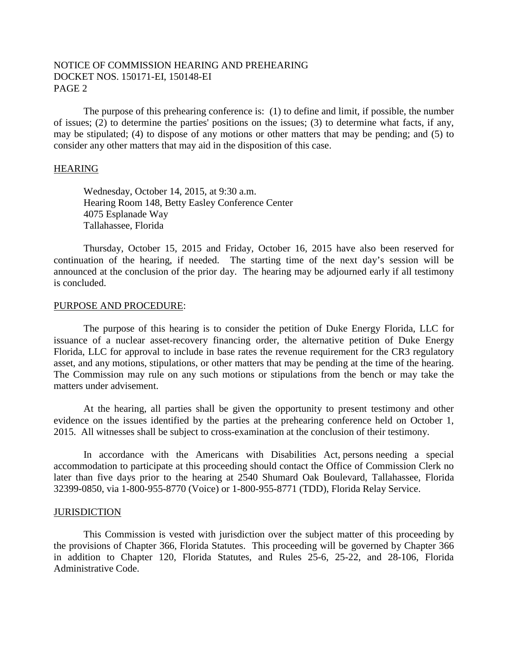# NOTICE OF COMMISSION HEARING AND PREHEARING DOCKET NOS. 150171-EI, 150148-EI PAGE 2

 The purpose of this prehearing conference is: (1) to define and limit, if possible, the number of issues; (2) to determine the parties' positions on the issues; (3) to determine what facts, if any, may be stipulated; (4) to dispose of any motions or other matters that may be pending; and (5) to consider any other matters that may aid in the disposition of this case.

### **HEARING**

Wednesday, October 14, 2015, at 9:30 a.m. Hearing Room 148, Betty Easley Conference Center 4075 Esplanade Way Tallahassee, Florida

 Thursday, October 15, 2015 and Friday, October 16, 2015 have also been reserved for continuation of the hearing, if needed. The starting time of the next day's session will be announced at the conclusion of the prior day. The hearing may be adjourned early if all testimony is concluded.

### PURPOSE AND PROCEDURE:

 The purpose of this hearing is to consider the petition of Duke Energy Florida, LLC for issuance of a nuclear asset-recovery financing order, the alternative petition of Duke Energy Florida, LLC for approval to include in base rates the revenue requirement for the CR3 regulatory asset, and any motions, stipulations, or other matters that may be pending at the time of the hearing. The Commission may rule on any such motions or stipulations from the bench or may take the matters under advisement.

 At the hearing, all parties shall be given the opportunity to present testimony and other evidence on the issues identified by the parties at the prehearing conference held on October 1, 2015. All witnesses shall be subject to cross-examination at the conclusion of their testimony.

 In accordance with the Americans with Disabilities Act, persons needing a special accommodation to participate at this proceeding should contact the Office of Commission Clerk no later than five days prior to the hearing at 2540 Shumard Oak Boulevard, Tallahassee, Florida 32399-0850, via 1-800-955-8770 (Voice) or 1-800-955-8771 (TDD), Florida Relay Service.

#### **JURISDICTION**

 This Commission is vested with jurisdiction over the subject matter of this proceeding by the provisions of Chapter 366, Florida Statutes. This proceeding will be governed by Chapter 366 in addition to Chapter 120, Florida Statutes, and Rules 25-6, 25-22, and 28-106, Florida Administrative Code.